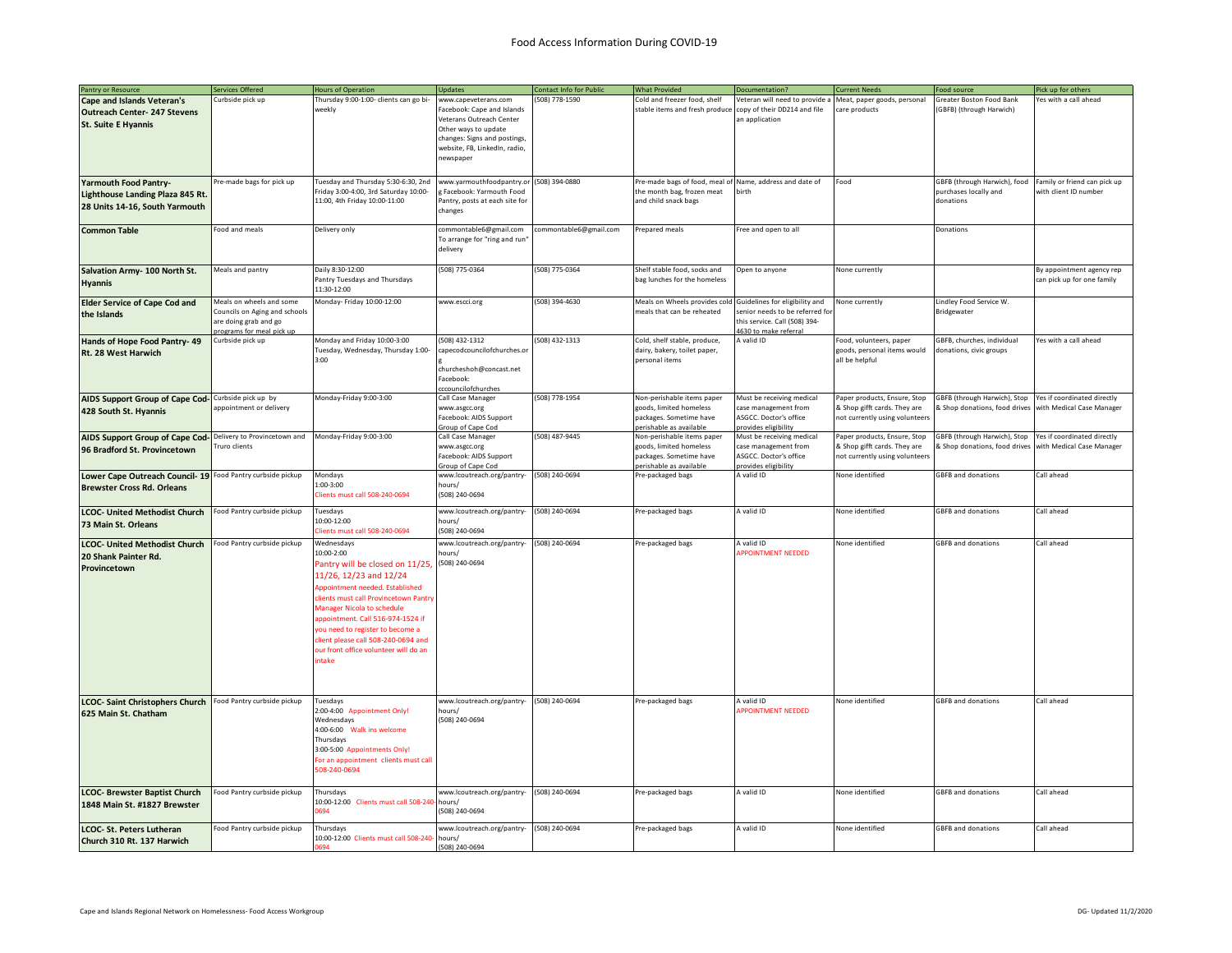| Pantry or Resource                                                                                     | Services Offered                                                                                                | <b>Hours of Operation</b>                                                                                                                                                                                                                                                                                                                                            | <b>Updates</b>                                                                                                                                                                       | Contact Info for Public | <b>What Provided</b>                                                                                        | Documentation?                                                                                                              | <b>Current Needs</b>                                                                           | Food source                                                        | Pick up for others                                       |
|--------------------------------------------------------------------------------------------------------|-----------------------------------------------------------------------------------------------------------------|----------------------------------------------------------------------------------------------------------------------------------------------------------------------------------------------------------------------------------------------------------------------------------------------------------------------------------------------------------------------|--------------------------------------------------------------------------------------------------------------------------------------------------------------------------------------|-------------------------|-------------------------------------------------------------------------------------------------------------|-----------------------------------------------------------------------------------------------------------------------------|------------------------------------------------------------------------------------------------|--------------------------------------------------------------------|----------------------------------------------------------|
| <b>Cape and Islands Veteran's</b><br><b>Outreach Center- 247 Stevens</b><br><b>St. Suite E Hyannis</b> | Curbside pick up                                                                                                | Fhursday 9:00-1:00- clients can go bi-<br>weekly                                                                                                                                                                                                                                                                                                                     | www.capeveterans.com<br>Facebook: Cape and Islands<br>Veterans Outreach Center<br>Other ways to update<br>changes: Signs and postings,<br>website, FB, LinkedIn, radio,<br>newspaper | (508) 778-1590          | Cold and freezer food, shelf<br>stable items and fresh produce                                              | Veteran will need to provide a<br>copy of their DD214 and file<br>an application                                            | Meat, paper goods, personal<br>care products                                                   | Greater Boston Food Bank<br>(GBFB) (through Harwich)               | res with a call ahead                                    |
| <b>Yarmouth Food Pantry-</b><br>Lighthouse Landing Plaza 845 Rt.<br>28 Units 14-16, South Yarmouth     | Pre-made bags for pick up                                                                                       | Tuesday and Thursday 5:30-6:30, 2nd<br>Friday 3:00-4:00, 3rd Saturday 10:00-<br>11:00, 4th Friday 10:00-11:00                                                                                                                                                                                                                                                        | www.yarmouthfoodpantry.or<br>g Facebook: Yarmouth Food<br>Pantry, posts at each site for<br>changes                                                                                  | (508) 394-0880          | Pre-made bags of food, meal of<br>the month bag, frozen meat<br>and child snack bags                        | Name, address and date of<br>birth                                                                                          | Food                                                                                           | GBFB (through Harwich), food<br>purchases locally and<br>donations | Family or friend can pick up<br>with client ID number    |
| <b>Common Table</b>                                                                                    | Food and meals                                                                                                  | Delivery only                                                                                                                                                                                                                                                                                                                                                        | commontable6@gmail.com<br>To arrange for "ring and run"<br>delivery                                                                                                                  | commontable6@gmail.com  | Prepared meals                                                                                              | Free and open to all                                                                                                        |                                                                                                | Donations                                                          |                                                          |
| Salvation Army- 100 North St.<br><b>Hyannis</b>                                                        | Meals and pantry                                                                                                | Daily 8:30-12:00<br>Pantry Tuesdays and Thursdays<br>11:30-12:00                                                                                                                                                                                                                                                                                                     | 508) 775-0364                                                                                                                                                                        | (508) 775-0364          | Shelf stable food, socks and<br>bag lunches for the homeless                                                | Open to anyone                                                                                                              | None currently                                                                                 |                                                                    | By appointment agency rep<br>can pick up for one family  |
| <b>Elder Service of Cape Cod and</b><br>the Islands                                                    | Meals on wheels and some<br>Councils on Aging and schools<br>are doing grab and go<br>programs for meal pick up | Monday- Friday 10:00-12:00                                                                                                                                                                                                                                                                                                                                           | www.escci.org                                                                                                                                                                        | (508) 394-4630          | Meals on Wheels provides cold<br>meals that can be reheated                                                 | Guidelines for eligibility and<br>senior needs to be referred for<br>this service. Call (508) 394-<br>4630 to make referral | None currently                                                                                 | Lindley Food Service W.<br>Bridgewater                             |                                                          |
| Hands of Hope Food Pantry- 49<br>Rt. 28 West Harwich                                                   | Curbside pick up                                                                                                | Monday and Friday 10:00-3:00<br>Tuesday, Wednesday, Thursday 1:00-<br>3:00                                                                                                                                                                                                                                                                                           | 508) 432-1312<br>apecodcouncilofchurches.or<br>churcheshoh@concast.net<br>Facebook:<br>ccouncilofchurches                                                                            | (508) 432-1313          | Cold, shelf stable, produce,<br>dairy, bakery, toilet paper,<br>personal items                              | A valid ID                                                                                                                  | Food, volunteers, paper<br>goods, personal items would<br>all be helpful                       | GBFB, churches, individual<br>donations, civic groups              | Yes with a call ahead                                    |
| AIDS Support Group of Cape Cod- Curbside pick up by<br>428 South St. Hyannis                           | appointment or delivery                                                                                         | Monday-Friday 9:00-3:00                                                                                                                                                                                                                                                                                                                                              | Call Case Manager<br>www.asgcc.org<br>Facebook: AIDS Support<br>Group of Cape Cod                                                                                                    | (508) 778-1954          | Non-perishable items paper<br>goods, limited homeless<br>packages. Sometime have<br>perishable as available | Must be receiving medical<br>case management from<br>ASGCC. Doctor's office<br>provides eligibility                         | Paper products, Ensure, Stop<br>& Shop gifft cards. They are<br>not currently using volunteers | GBFB (through Harwich), Stop<br>& Shop donations, food drives      | Yes if coordinated directly<br>with Medical Case Manager |
| AIDS Support Group of Cape Cod-<br>96 Bradford St. Provincetown                                        | Delivery to Provincetown and<br>Truro clients                                                                   | Monday-Friday 9:00-3:00                                                                                                                                                                                                                                                                                                                                              | Call Case Manager<br>www.asgcc.org<br>Facebook: AIDS Support<br>Group of Cape Cod                                                                                                    | (508) 487-9445          | Non-perishable items paper<br>goods, limited homeless<br>packages. Sometime have<br>erishable as available  | Must be receiving medical<br>case management from<br>ASGCC, Doctor's office<br>provides eligibility                         | Paper products, Ensure, Stop<br>& Shop gifft cards. They are<br>not currently using volunteer: | GBFB (through Harwich), Stop<br>& Shop donations, food drives      | Yes if coordinated directly<br>with Medical Case Manager |
| Lower Cape Outreach Council- 19 Food Pantry curbside pickup<br><b>Brewster Cross Rd. Orleans</b>       |                                                                                                                 | Mondays<br>1:00-3:00<br>Clients must call 508-240-0694                                                                                                                                                                                                                                                                                                               | www.lcoutreach.org/pantry-<br>hours/<br>(508) 240-0694                                                                                                                               | (508) 240-0694          | Pre-packaged bags                                                                                           | A valid ID                                                                                                                  | None identified                                                                                | <b>GBFB and donations</b>                                          | Call ahead                                               |
| <b>LCOC- United Methodist Church</b><br>73 Main St. Orleans                                            | Food Pantry curbside pickup                                                                                     | Tuesdays<br>10:00-12:00<br>Clients must call 508-240-0694                                                                                                                                                                                                                                                                                                            | www.lcoutreach.org/pantry-<br>hours/<br>508) 240-0694                                                                                                                                | (508) 240-0694          | Pre-packaged bags                                                                                           | A valid ID                                                                                                                  | None identified                                                                                | <b>GBFB</b> and donations                                          | Call ahead                                               |
| <b>LCOC- United Methodist Church</b><br>20 Shank Painter Rd.<br>Provincetown                           | Food Pantry curbside pickup                                                                                     | Wednesdays<br>10:00-2:00<br>antry will be closed on 11/25,<br>11/26, 12/23 and 12/24<br>Appointment needed. Established<br>lients must call Provincetown Pantry<br><b>Manager Nicola to schedule</b><br>ppointment. Call 516-974-1524 if<br>ou need to register to become a<br>lient please call 508-240-0694 and<br>our front office volunteer will do an<br>intake | /ww.lcoutreach.org/pantry-<br>ours/<br>(508) 240-0694                                                                                                                                | (508) 240-0694          | Pre-packaged bags                                                                                           | A valid ID<br><b>APPOINTMENT NEEDED</b>                                                                                     | None identified                                                                                | <b>GBFB</b> and donations                                          | Call ahead                                               |
| <b>LCOC- Saint Christophers Church</b><br>625 Main St. Chatham                                         | Food Pantry curbside pickup                                                                                     | Tuesdavs<br>2:00-4:00 Appointment Only!<br>Wednesdays<br>4:00-6:00 Walk ins welcome<br>Thursdays<br>3:00-5:00 Appointments Only!<br>For an appointment clients must call<br>508-240-0694                                                                                                                                                                             | www.lcoutreach.org/pantry-<br>hours/<br>(508) 240-0694                                                                                                                               | (508) 240-0694          | Pre-packaged bags                                                                                           | A valid ID<br><b>APPOINTMENT NEEDED</b>                                                                                     | None identified                                                                                | <b>GBFB</b> and donations                                          | Call ahead                                               |
| <b>LCOC- Brewster Baptist Church</b><br>1848 Main St. #1827 Brewster                                   | ood Pantry curbside pickup                                                                                      | Thursdays<br>10:00-12:00 Clients must call 508-24<br>694                                                                                                                                                                                                                                                                                                             | www.lcoutreach.org/pantry-<br>hours/<br>(508) 240-0694                                                                                                                               | (508) 240-0694          | Pre-packaged bags                                                                                           | A valid ID                                                                                                                  | None identified                                                                                | <b>GBFB</b> and donations                                          | Call ahead                                               |
| LCOC- St. Peters Lutheran<br>Church 310 Rt. 137 Harwich                                                | Food Pantry curbside pickup                                                                                     | Thursdavs<br>10:00-12:00 Clients must call 508-240-                                                                                                                                                                                                                                                                                                                  | www.lcoutreach.org/pantry-<br>hours/<br>(508) 240-0694                                                                                                                               | (508) 240-0694          | Pre-packaged bags                                                                                           | A valid ID                                                                                                                  | None identified                                                                                | <b>GBFB and donations</b>                                          | Call ahead                                               |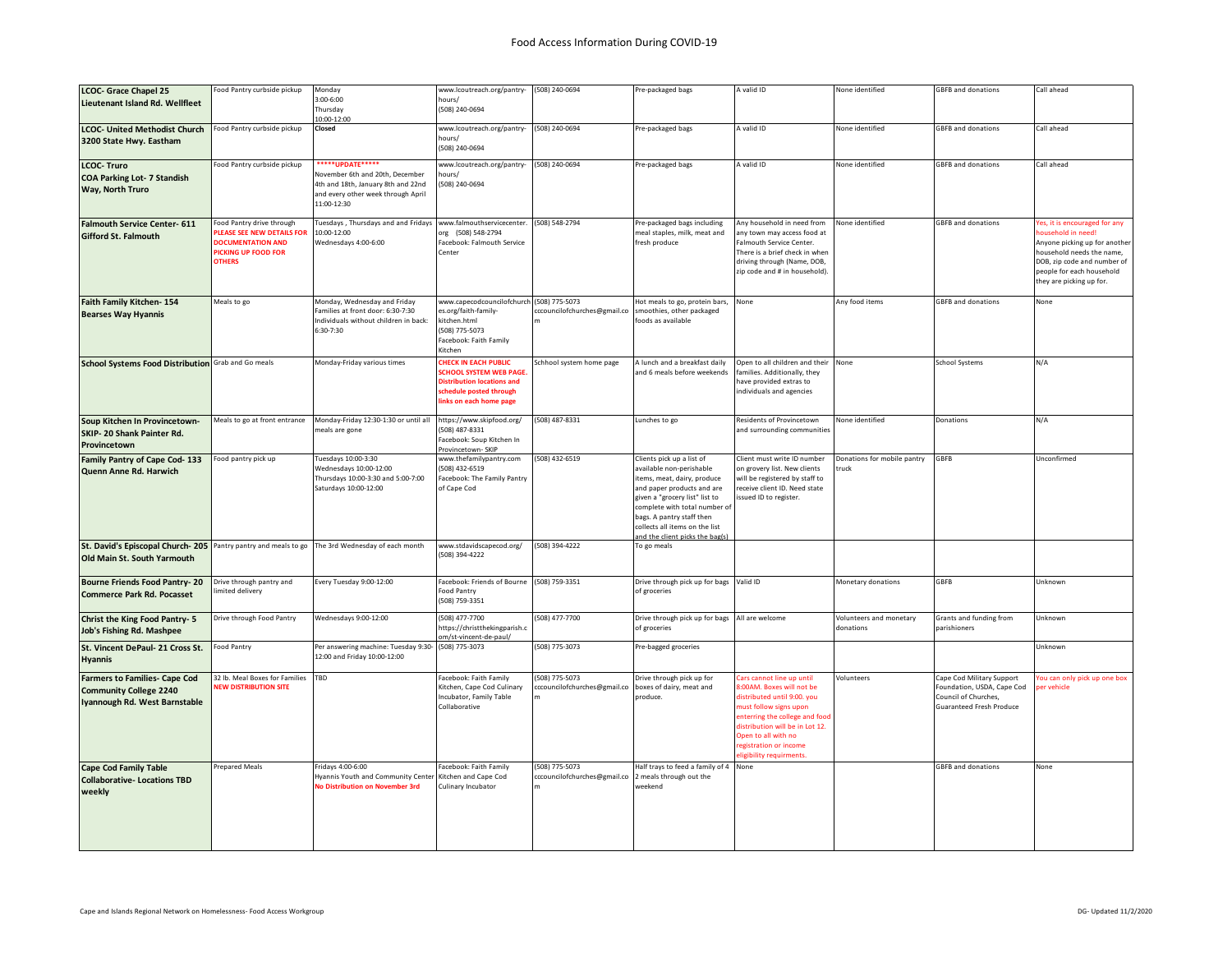| <b>LCOC- Grace Chapel 25</b>                                                                   | ood Pantry curbside pickup                                                                                                         | Monday                                                                                                                     | www.lcoutreach.org/pantry-                                                                                                                            | (508) 240-0694                                 | Pre-packaged bags                                                                                                                                                                                                                                                                    | A valid ID                                                                                                                                                                                                                               | None identified                      | <b>GBFB and donations</b>                                                             | Call ahead                                                                                                                                                                                               |
|------------------------------------------------------------------------------------------------|------------------------------------------------------------------------------------------------------------------------------------|----------------------------------------------------------------------------------------------------------------------------|-------------------------------------------------------------------------------------------------------------------------------------------------------|------------------------------------------------|--------------------------------------------------------------------------------------------------------------------------------------------------------------------------------------------------------------------------------------------------------------------------------------|------------------------------------------------------------------------------------------------------------------------------------------------------------------------------------------------------------------------------------------|--------------------------------------|---------------------------------------------------------------------------------------|----------------------------------------------------------------------------------------------------------------------------------------------------------------------------------------------------------|
| Lieutenant Island Rd. Wellfleet                                                                |                                                                                                                                    | 3:00-6:00<br>Thursday                                                                                                      | hours/<br>(508) 240-0694                                                                                                                              |                                                |                                                                                                                                                                                                                                                                                      |                                                                                                                                                                                                                                          |                                      |                                                                                       |                                                                                                                                                                                                          |
|                                                                                                |                                                                                                                                    | 10:00-12:00                                                                                                                |                                                                                                                                                       |                                                |                                                                                                                                                                                                                                                                                      |                                                                                                                                                                                                                                          |                                      |                                                                                       |                                                                                                                                                                                                          |
| <b>LCOC- United Methodist Church</b><br>3200 State Hwy. Eastham                                | Food Pantry curbside pickup                                                                                                        | Closed                                                                                                                     | www.lcoutreach.org/pantry-<br>hours/<br>(508) 240-0694                                                                                                | (508) 240-0694                                 | Pre-packaged bags                                                                                                                                                                                                                                                                    | A valid ID                                                                                                                                                                                                                               | None identified                      | <b>GBFB</b> and donations                                                             | Call ahead                                                                                                                                                                                               |
| <b>LCOC-Truro</b>                                                                              | Food Pantry curbside pickup                                                                                                        | *****UPDATE*****                                                                                                           | www.lcoutreach.org/pantry-                                                                                                                            | (508) 240-0694                                 | Pre-packaged bags                                                                                                                                                                                                                                                                    | A valid ID                                                                                                                                                                                                                               | None identified                      | <b>GBFB and donations</b>                                                             | Call ahead                                                                                                                                                                                               |
| <b>COA Parking Lot- 7 Standish</b><br>Way, North Truro                                         |                                                                                                                                    | November 6th and 20th, December<br>4th and 18th, January 8th and 22nd<br>and every other week through April<br>11:00-12:30 | hours/<br>508) 240-0694                                                                                                                               |                                                |                                                                                                                                                                                                                                                                                      |                                                                                                                                                                                                                                          |                                      |                                                                                       |                                                                                                                                                                                                          |
| Falmouth Service Center- 611<br>Gifford St. Falmouth                                           | Food Pantry drive through<br>PLEASE SEE NEW DETAILS FOR<br><b>DOCUMENTATION AND</b><br><b>PICKING UP FOOD FOR</b><br><b>OTHERS</b> | Tuesdays, Thursdays and and Fridays<br>10:00-12:00<br>Wednesdays 4:00-6:00                                                 | www.falmouthservicecenter.<br>org (508) 548-2794<br>Facebook: Falmouth Service<br>Center                                                              | (508) 548-2794                                 | Pre-packaged bags including<br>meal staples, milk, meat and<br>resh produce                                                                                                                                                                                                          | Any household in need from<br>any town may access food at<br>Falmouth Service Center.<br>There is a brief check in when<br>driving through (Name, DOB,<br>zip code and # in household).                                                  | None identified                      | <b>GBFB and donations</b>                                                             | 'es, it is encouraged for any<br>ousehold in need!<br>Anyone picking up for another<br>household needs the name,<br>DOB, zip code and number of<br>people for each household<br>they are picking up for. |
| Faith Family Kitchen-154<br><b>Bearses Way Hyannis</b>                                         | Meals to go                                                                                                                        | Monday, Wednesday and Friday<br>Families at front door: 6:30-7:30<br>Individuals without children in back:<br>6:30-7:30    | www.capecodcouncilofchurch (508) 775-5073<br>es.org/faith-family-<br>kitchen.html<br>(508) 775-5073<br>Facebook: Faith Family<br>Kitchen              | cccouncilofchurches@gmail.co                   | lot meals to go, protein bars,<br>smoothies, other packaged<br>oods as available                                                                                                                                                                                                     | None                                                                                                                                                                                                                                     | Any food items                       | <b>GBFB</b> and donations                                                             | None                                                                                                                                                                                                     |
| School Systems Food Distribution Grab and Go meals                                             |                                                                                                                                    | Monday-Friday various times                                                                                                | <b>HECK IN EACH PUBLIC</b><br><b>CHOOL SYSTEM WEB PAGE</b><br><b>Distribution locations and</b><br>schedule posted through<br>links on each home page | chhool system home page                        | I lunch and a breakfast daily<br>nd 6 meals before weekends                                                                                                                                                                                                                          | Open to all children and their<br>families. Additionally, they<br>have provided extras to<br>individuals and agencies                                                                                                                    | None                                 | School Systems                                                                        | N/A                                                                                                                                                                                                      |
| Soup Kitchen In Provincetown-<br>SKIP- 20 Shank Painter Rd.<br>Provincetown                    | Meals to go at front entrance                                                                                                      | Monday-Friday 12:30-1:30 or until all<br>meals are gone                                                                    | https://www.skipfood.org/<br>(508) 487-8331<br>Facebook: Soup Kitchen In<br>Provincetown- SKIP                                                        | (508) 487-8331                                 | unches to go                                                                                                                                                                                                                                                                         | Residents of Provincetown<br>and surrounding communities                                                                                                                                                                                 | None identified                      | Donations                                                                             | N/A                                                                                                                                                                                                      |
| Family Pantry of Cape Cod-133<br>Quenn Anne Rd. Harwich                                        | Food pantry pick up                                                                                                                | Tuesdays 10:00-3:30<br>Wednesdays 10:00-12:00<br>Thursdays 10:00-3:30 and 5:00-7:00<br>Saturdays 10:00-12:00               | www.thefamilypantry.com<br>(508) 432-6519<br>Facebook: The Family Pantry<br>of Cape Cod                                                               | (508) 432-6519                                 | Clients pick up a list of<br>available non-perishable<br>tems, meat, dairy, produce<br>and paper products and are<br>given a "grocery list" list to<br>complete with total number of<br>bags. A pantry staff then<br>collects all items on the list<br>nd the client picks the bagls | Client must write ID number<br>on grovery list. New clients<br>will be registered by staff to<br>receive client ID. Need state<br>issued ID to register.                                                                                 | Donations for mobile pantry<br>truck | GBFB                                                                                  | Unconfirmed                                                                                                                                                                                              |
| St. David's Episcopal Church- 205 Pantry pantry and meals to go<br>Old Main St. South Yarmouth |                                                                                                                                    | The 3rd Wednesday of each month                                                                                            | www.stdavidscapecod.org/<br>(508) 394-4222                                                                                                            | (508) 394-4222                                 | To go meals                                                                                                                                                                                                                                                                          |                                                                                                                                                                                                                                          |                                      |                                                                                       |                                                                                                                                                                                                          |
| <b>Bourne Friends Food Pantry-20</b><br><b>Commerce Park Rd. Pocasset</b>                      | Drive through pantry and<br>mited delivery                                                                                         | Every Tuesday 9:00-12:00                                                                                                   | Facebook: Friends of Bourne (508) 759-3351<br>Food Pantry<br>(508) 759-3351                                                                           |                                                | Drive through pick up for bags<br>of groceries                                                                                                                                                                                                                                       | Valid ID                                                                                                                                                                                                                                 | Monetary donations                   | GBFB                                                                                  | Unknown                                                                                                                                                                                                  |
| Christ the King Food Pantry- 5<br>Job's Fishing Rd. Mashpee                                    | Drive through Food Pantry                                                                                                          | Wednesdays 9:00-12:00                                                                                                      | (508) 477-7700<br>https://christthekingparish.c<br>//m/st-vincent-de-paul                                                                             | (508) 477-7700                                 | Drive through pick up for bags<br>of groceries                                                                                                                                                                                                                                       | All are welcome                                                                                                                                                                                                                          | Volunteers and monetary<br>donations | <b>Grants and funding from</b><br>parishioners                                        | Unknown                                                                                                                                                                                                  |
| St. Vincent DePaul- 21 Cross St.<br>Hyannis                                                    | Food Pantry                                                                                                                        | Per answering machine: Tuesday 9:30-<br>12:00 and Friday 10:00-12:00                                                       | (508) 775-3073                                                                                                                                        | (508) 775-3073                                 | Pre-bagged groceries                                                                                                                                                                                                                                                                 |                                                                                                                                                                                                                                          |                                      |                                                                                       | Unknown                                                                                                                                                                                                  |
| <b>Farmers to Families- Cape Cod</b>                                                           | 32 lb. Meal Boxes for Families                                                                                                     | TBD                                                                                                                        | Facebook: Faith Family                                                                                                                                | (508) 775-5073                                 | Drive through pick up for                                                                                                                                                                                                                                                            | Cars cannot line up until                                                                                                                                                                                                                | Volunteers                           | Cape Cod Military Support                                                             | ou can only pick up one box                                                                                                                                                                              |
| <b>Community College 2240</b><br>Iyannough Rd. West Barnstable                                 | <b>NEW DISTRIBUTION SITE</b>                                                                                                       |                                                                                                                            | Kitchen, Cape Cod Culinary<br>Incubator, Family Table<br>Collaborative                                                                                | ccouncilofchurches@gmail.co                    | poxes of dairy, meat and<br>produce.                                                                                                                                                                                                                                                 | <b>B:00AM. Boxes will not be</b><br>distributed until 9:00. you<br>must follow signs upon<br>enterring the college and food<br>distribution will be in Lot 12.<br>Open to all with no<br>registration or income<br>igibility requirments |                                      | Foundation, USDA, Cape Cod<br>Council of Churches,<br><b>Guaranteed Fresh Produce</b> | er vehicle                                                                                                                                                                                               |
| <b>Cape Cod Family Table</b><br><b>Collaborative-Locations TBD</b><br>weekly                   | Prepared Meals                                                                                                                     | Fridays 4:00-6:00<br>Hyannis Youth and Community Center<br><b>No Distribution on November 3rd</b>                          | Facebook: Faith Family<br>Kitchen and Cape Cod<br>Culinary Incubator                                                                                  | (508) 775-5073<br>cccouncilofchurches@gmail.co | Half trays to feed a family of 4<br>2 meals through out the<br>veekend                                                                                                                                                                                                               | None                                                                                                                                                                                                                                     |                                      | <b>GBFB and donations</b>                                                             | None                                                                                                                                                                                                     |